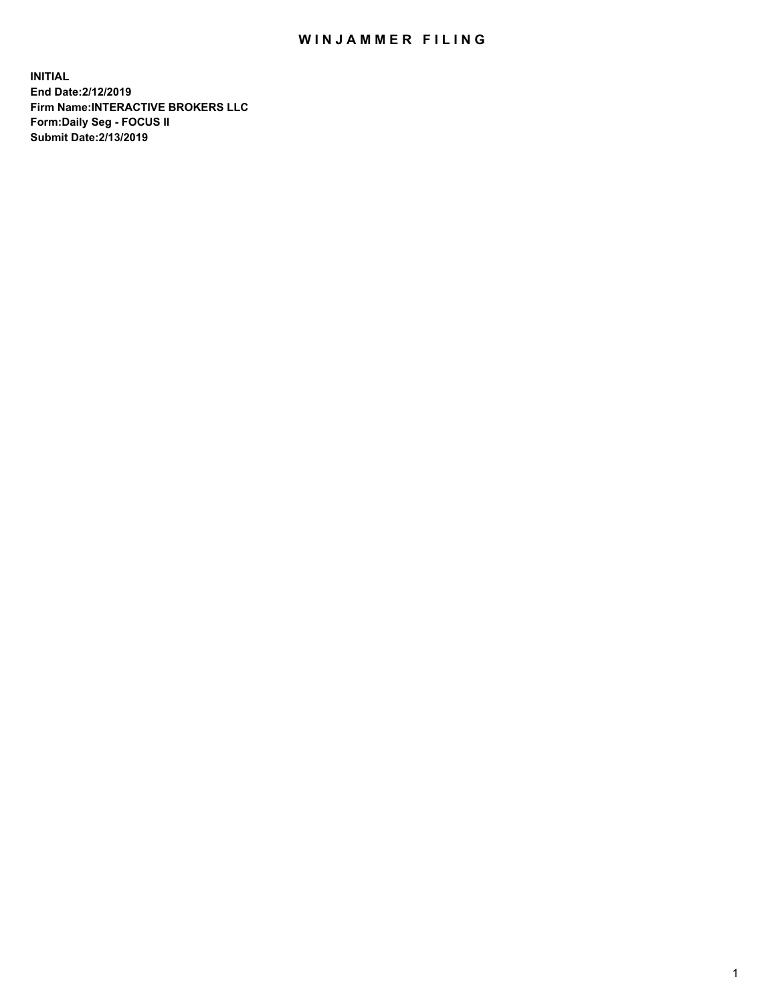## WIN JAMMER FILING

**INITIAL End Date:2/12/2019 Firm Name:INTERACTIVE BROKERS LLC Form:Daily Seg - FOCUS II Submit Date:2/13/2019**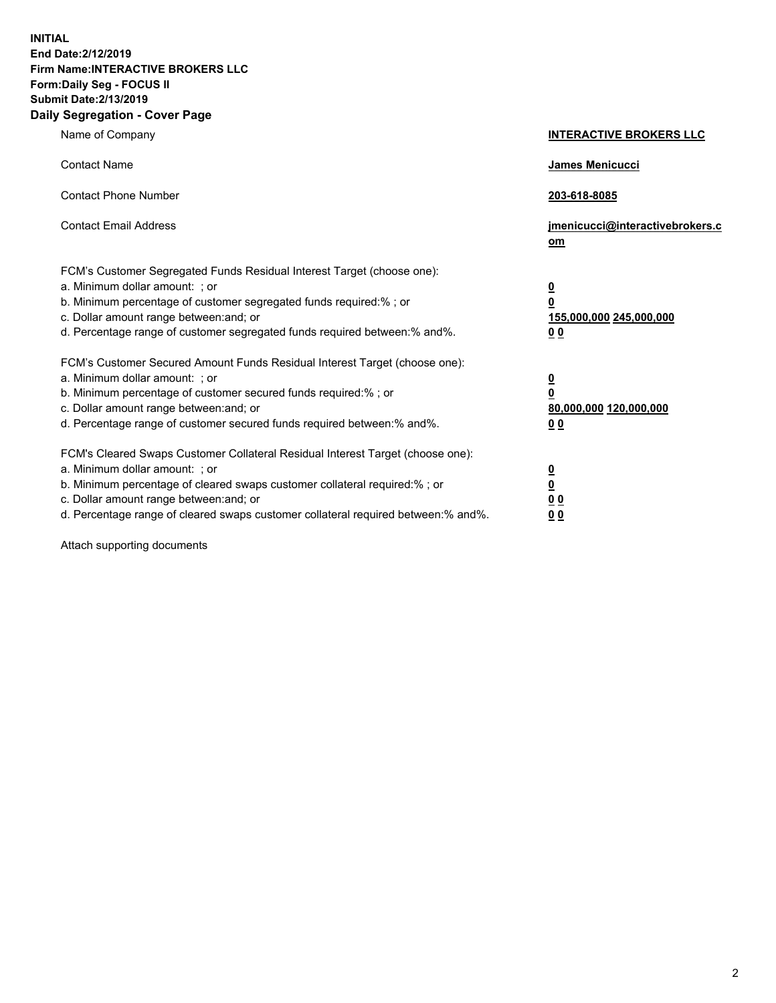**INITIAL End Date:2/12/2019 Firm Name:INTERACTIVE BROKERS LLC Form:Daily Seg - FOCUS II Submit Date:2/13/2019 Daily Segregation - Cover Page**

| Name of Company                                                                                                                                                                                                                                                                                                                | <b>INTERACTIVE BROKERS LLC</b>                                                                  |
|--------------------------------------------------------------------------------------------------------------------------------------------------------------------------------------------------------------------------------------------------------------------------------------------------------------------------------|-------------------------------------------------------------------------------------------------|
| <b>Contact Name</b>                                                                                                                                                                                                                                                                                                            | James Menicucci                                                                                 |
| <b>Contact Phone Number</b>                                                                                                                                                                                                                                                                                                    | 203-618-8085                                                                                    |
| <b>Contact Email Address</b>                                                                                                                                                                                                                                                                                                   | jmenicucci@interactivebrokers.c<br>om                                                           |
| FCM's Customer Segregated Funds Residual Interest Target (choose one):<br>a. Minimum dollar amount: ; or<br>b. Minimum percentage of customer segregated funds required:% ; or<br>c. Dollar amount range between: and; or<br>d. Percentage range of customer segregated funds required between:% and%.                         | $\overline{\mathbf{0}}$<br>$\overline{\mathbf{0}}$<br>155,000,000 245,000,000<br>0 <sub>0</sub> |
| FCM's Customer Secured Amount Funds Residual Interest Target (choose one):<br>a. Minimum dollar amount: ; or<br>b. Minimum percentage of customer secured funds required:% ; or<br>c. Dollar amount range between: and; or<br>d. Percentage range of customer secured funds required between:% and%.                           | $\overline{\mathbf{0}}$<br>0<br>80,000,000 120,000,000<br>0 <sub>0</sub>                        |
| FCM's Cleared Swaps Customer Collateral Residual Interest Target (choose one):<br>a. Minimum dollar amount: ; or<br>b. Minimum percentage of cleared swaps customer collateral required:% ; or<br>c. Dollar amount range between: and; or<br>d. Percentage range of cleared swaps customer collateral required between:% and%. | $\overline{\mathbf{0}}$<br><u>0</u><br>$\underline{0}$ $\underline{0}$<br>00                    |

Attach supporting documents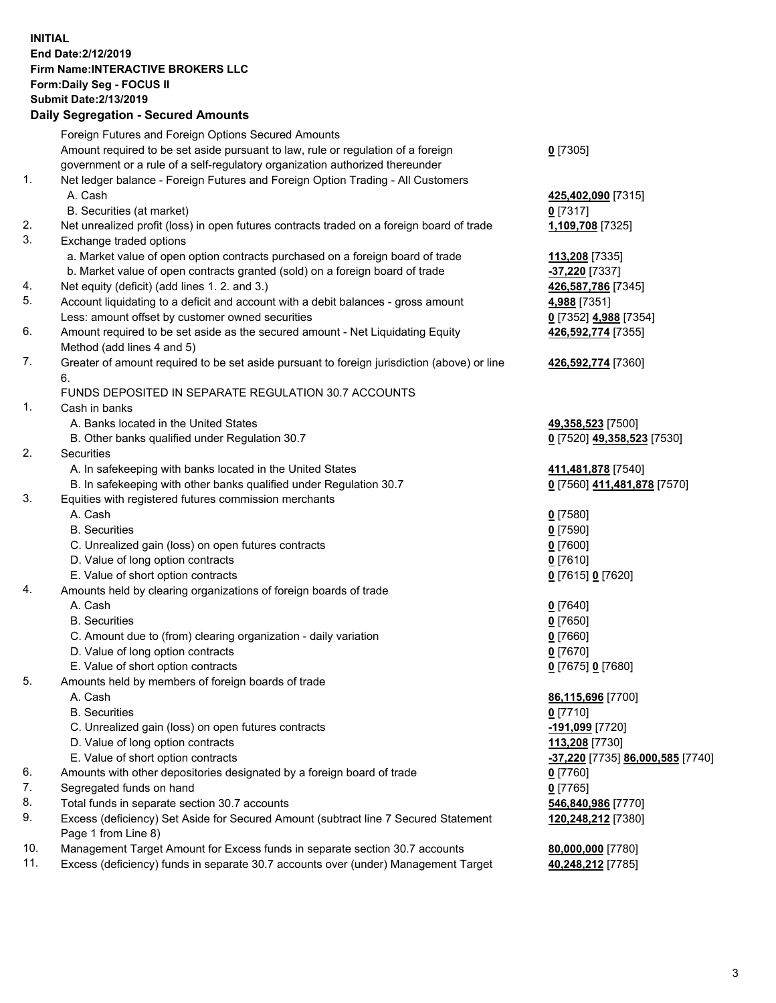## **INITIAL End Date:2/12/2019 Firm Name:INTERACTIVE BROKERS LLC Form:Daily Seg - FOCUS II Submit Date:2/13/2019 Daily Segregation - Secured Amounts**

|                | Dany Segregation - Secured Announts                                                                        |                                  |
|----------------|------------------------------------------------------------------------------------------------------------|----------------------------------|
|                | Foreign Futures and Foreign Options Secured Amounts                                                        |                                  |
|                | Amount required to be set aside pursuant to law, rule or regulation of a foreign                           | $0$ [7305]                       |
|                | government or a rule of a self-regulatory organization authorized thereunder                               |                                  |
| $\mathbf{1}$ . | Net ledger balance - Foreign Futures and Foreign Option Trading - All Customers                            |                                  |
|                | A. Cash                                                                                                    | 425,402,090 [7315]               |
|                | B. Securities (at market)                                                                                  | $0$ [7317]                       |
| 2.             | Net unrealized profit (loss) in open futures contracts traded on a foreign board of trade                  | 1,109,708 [7325]                 |
| 3.             | Exchange traded options                                                                                    |                                  |
|                | a. Market value of open option contracts purchased on a foreign board of trade                             | 113,208 [7335]                   |
|                | b. Market value of open contracts granted (sold) on a foreign board of trade                               | -37,220 [7337]                   |
| 4.             | Net equity (deficit) (add lines 1. 2. and 3.)                                                              | 426,587,786 [7345]               |
| 5.             | Account liquidating to a deficit and account with a debit balances - gross amount                          | 4,988 [7351]                     |
|                | Less: amount offset by customer owned securities                                                           | 0 [7352] 4,988 [7354]            |
| 6.             | Amount required to be set aside as the secured amount - Net Liquidating Equity                             | 426,592,774 [7355]               |
| 7.             | Method (add lines 4 and 5)                                                                                 |                                  |
|                | Greater of amount required to be set aside pursuant to foreign jurisdiction (above) or line<br>6.          | 426,592,774 [7360]               |
|                | FUNDS DEPOSITED IN SEPARATE REGULATION 30.7 ACCOUNTS                                                       |                                  |
| 1.             | Cash in banks                                                                                              |                                  |
|                | A. Banks located in the United States                                                                      | 49,358,523 [7500]                |
|                | B. Other banks qualified under Regulation 30.7                                                             | 0 [7520] 49,358,523 [7530]       |
| 2.             | <b>Securities</b>                                                                                          |                                  |
|                | A. In safekeeping with banks located in the United States                                                  | 411,481,878 [7540]               |
|                | B. In safekeeping with other banks qualified under Regulation 30.7                                         | 0 [7560] 411,481,878 [7570]      |
| 3.             | Equities with registered futures commission merchants                                                      |                                  |
|                | A. Cash                                                                                                    | $0$ [7580]                       |
|                | <b>B.</b> Securities                                                                                       | $0$ [7590]                       |
|                | C. Unrealized gain (loss) on open futures contracts                                                        | $0$ [7600]                       |
|                | D. Value of long option contracts                                                                          | $0$ [7610]                       |
|                | E. Value of short option contracts                                                                         | 0 [7615] 0 [7620]                |
| 4.             | Amounts held by clearing organizations of foreign boards of trade                                          |                                  |
|                | A. Cash                                                                                                    | $0$ [7640]                       |
|                | <b>B.</b> Securities                                                                                       | $0$ [7650]                       |
|                | C. Amount due to (from) clearing organization - daily variation                                            | $0$ [7660]                       |
|                | D. Value of long option contracts                                                                          | $0$ [7670]                       |
|                | E. Value of short option contracts                                                                         | 0 [7675] 0 [7680]                |
| 5.             | Amounts held by members of foreign boards of trade                                                         |                                  |
|                | A. Cash                                                                                                    | 86,115,696 [7700]                |
|                | <b>B.</b> Securities                                                                                       | $0$ [7710]                       |
|                | C. Unrealized gain (loss) on open futures contracts                                                        | -191,099 [7720]                  |
|                | D. Value of long option contracts                                                                          | 113,208 [7730]                   |
|                | E. Value of short option contracts                                                                         | -37,220 [7735] 86,000,585 [7740] |
| 6.<br>7.       | Amounts with other depositories designated by a foreign board of trade                                     | 0 [7760]                         |
| 8.             | Segregated funds on hand                                                                                   | $0$ [7765]                       |
| 9.             | Total funds in separate section 30.7 accounts                                                              | 546,840,986 [7770]               |
|                | Excess (deficiency) Set Aside for Secured Amount (subtract line 7 Secured Statement<br>Page 1 from Line 8) | 120,248,212 [7380]               |
| 10.            | Management Target Amount for Excess funds in separate section 30.7 accounts                                | 80,000,000 [7780]                |
| 11.            | Excess (deficiency) funds in separate 30.7 accounts over (under) Management Target                         | 40,248,212 [7785]                |
|                |                                                                                                            |                                  |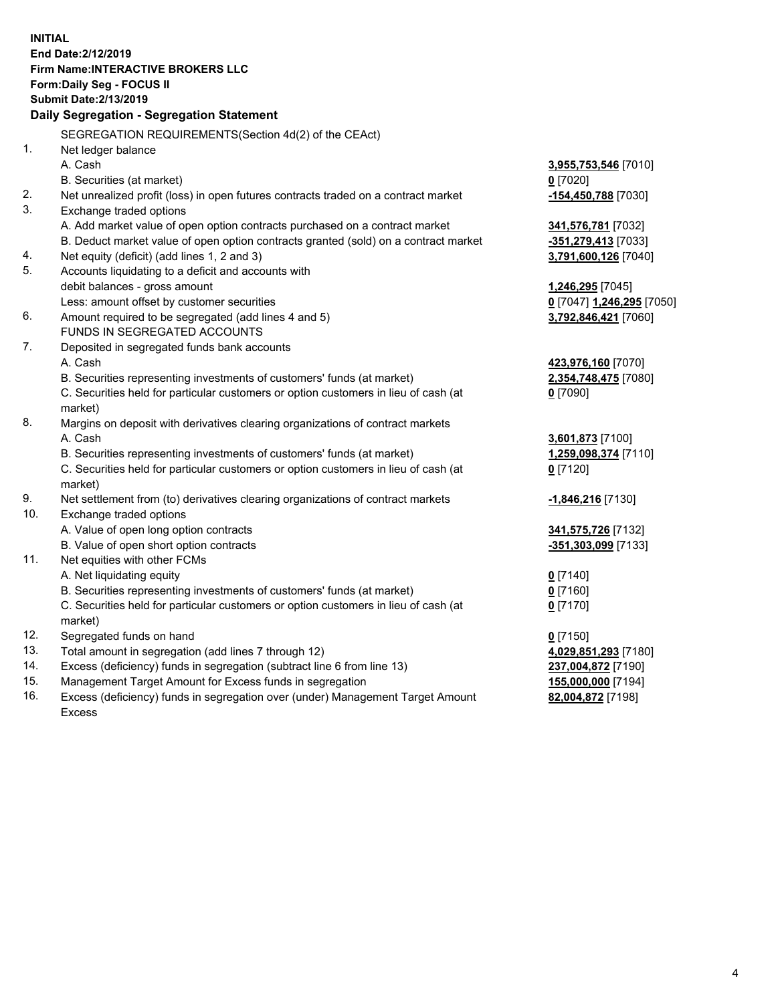**INITIAL End Date:2/12/2019 Firm Name:INTERACTIVE BROKERS LLC Form:Daily Seg - FOCUS II Submit Date:2/13/2019 Daily Segregation - Segregation Statement** SEGREGATION REQUIREMENTS(Section 4d(2) of the CEAct) 1. Net ledger balance A. Cash **3,955,753,546** [7010] B. Securities (at market) **0** [7020] 2. Net unrealized profit (loss) in open futures contracts traded on a contract market **-154,450,788** [7030] 3. Exchange traded options A. Add market value of open option contracts purchased on a contract market **341,576,781** [7032] B. Deduct market value of open option contracts granted (sold) on a contract market **-351,279,413** [7033] 4. Net equity (deficit) (add lines 1, 2 and 3) **3,791,600,126** [7040] 5. Accounts liquidating to a deficit and accounts with debit balances - gross amount **1,246,295** [7045] Less: amount offset by customer securities **0** [7047] **1,246,295** [7050] 6. Amount required to be segregated (add lines 4 and 5) **3,792,846,421** [7060] FUNDS IN SEGREGATED ACCOUNTS 7. Deposited in segregated funds bank accounts A. Cash **423,976,160** [7070] B. Securities representing investments of customers' funds (at market) **2,354,748,475** [7080] C. Securities held for particular customers or option customers in lieu of cash (at market) **0** [7090] 8. Margins on deposit with derivatives clearing organizations of contract markets A. Cash **3,601,873** [7100] B. Securities representing investments of customers' funds (at market) **1,259,098,374** [7110] C. Securities held for particular customers or option customers in lieu of cash (at market) **0** [7120] 9. Net settlement from (to) derivatives clearing organizations of contract markets **-1,846,216** [7130] 10. Exchange traded options A. Value of open long option contracts **341,575,726** [7132] B. Value of open short option contracts **-351,303,099** [7133] 11. Net equities with other FCMs A. Net liquidating equity **0** [7140] B. Securities representing investments of customers' funds (at market) **0** [7160] C. Securities held for particular customers or option customers in lieu of cash (at market) **0** [7170] 12. Segregated funds on hand **0** [7150] 13. Total amount in segregation (add lines 7 through 12) **4,029,851,293** [7180] 14. Excess (deficiency) funds in segregation (subtract line 6 from line 13) **237,004,872** [7190] 15. Management Target Amount for Excess funds in segregation **155,000,000** [7194]

16. Excess (deficiency) funds in segregation over (under) Management Target Amount Excess

**82,004,872** [7198]